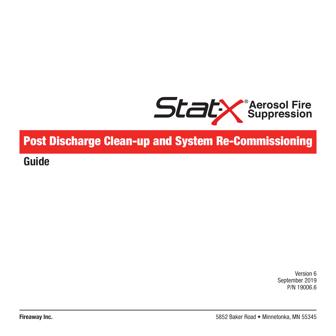

# **Post Discharge Clean-up and System Re-Commissioning**

**Guide**

Version 6 September 2019 P/N 19006.6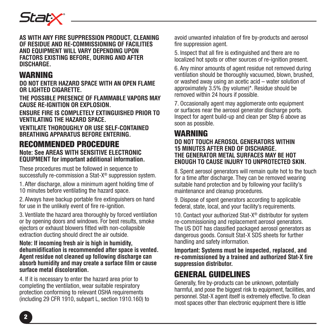

**AS WITH ANY FIRE SUPPRESSION PRODUCT, CLEANING OF RESIDUE AND RE-COMMISSIONING OF FACILITIES AND EQUIPMENT WILL VARY DEPENDING UPON FACTORS EXISTING BEFORE, DURING AND AFTER DISCHARGE.**

### **WARNING**

**DO NOT ENTER HAZARD SPACE WITH AN OPEN FLAME OR LIGHTED CIGARETTE.**

**THE POSSIBLE PRESENCE OF FLAMMABLE VAPORS MAY CAUSE RE-IGNITION OR EXPLOSION.**

**ENSURE FIRE IS COMPLETELY EXTINGUISHED PRIOR TO VENTILATING THE HAZARD SPACE.**

**VENTILATE THOROUGHLY OR USE SELF-CONTAINED BREATHING APPARATUS BEFORE ENTERING.**

# **RECOMMENDED PROCEDURE**

**Note: See AREAS WITH SENSITIVE ELECTRONIC EQUIPMENT for important additional information.**

These procedures must be followed in sequence to successfully re-commission a Stat-X® suppression system.

1. After discharge, allow a minimum agent holding time of 10 minutes before ventilating the hazard space.

2. Always have backup portable fire extinguishers on hand for use in the unlikely event of fire re-ignition.

3. Ventilate the hazard area thoroughly by forced ventilation or by opening doors and windows. For best results, smoke ejectors or exhaust blowers fitted with non-collapsible extraction ducting should direct the air outside.

**Note: If incoming fresh air is high in humidity, dehumidification is recommended after space is vented. Agent residue not cleaned up following discharge can absorb humidity and may create a surface film or cause surface metal discoloration.**

4. If it is necessary to enter the hazard area prior to completing the ventilation, wear suitable respiratory protection conforming to relevant OSHA requirements (including 29 CFR 1910, subpart L, section 1910.160) to avoid unwanted inhalation of fire by-products and aerosol fire suppression agent.

5. Inspect that all fire is extinguished and there are no localized hot spots or other sources of re-ignition present.

6. Any minor amounts of agent residue not removed during ventilation should be thoroughly vacuumed, blown, brushed, or washed away using an acetic acid – water solution of approximately 3.5% (by volume)\*. Residue should be removed within 24 hours if possible.

7. Occasionally agent may agglomerate onto equipment or surfaces near the aerosol generator discharge ports. Inspect for agent build-up and clean per Step 6 above as soon as possible.

#### **WARNING DO NOT TOUCH AEROSOL GENERATORS WITHIN 15 MINUTES AFTER END OF DISCHARGE. THE GENERATOR METAL SURFACES MAY BE HOT ENOUGH TO CAUSE INJURY TO UNPROTECTED SKIN.**

8. Spent aerosol generators will remain quite hot to the touch for a time after discharge. They can be removed wearing suitable hand protection and by following your facility's maintenance and cleanup procedures.

9. Dispose of spent generators according to applicable federal, state, local, and your facility's requirements.

10. Contact your authorized Stat-X® distributor for system re-commissioning and replacement aerosol generators. The US DOT has classified packaged aerosol generators as dangerous goods. Consult Stat-X SDS sheets for further handling and safety information.

**Important: Systems must be inspected, replaced, and re-commissioned by a trained and authorized Stat-X fire suppression distributor.**

### **GENERAL GUIDELINES**

Generally, fire by-products can be unknown, potentially harmful, and pose the biggest risk to equipment, facilities, and personnel. Stat-X agent itself is extremely effective. To clean most spaces other than electronic equipment there is little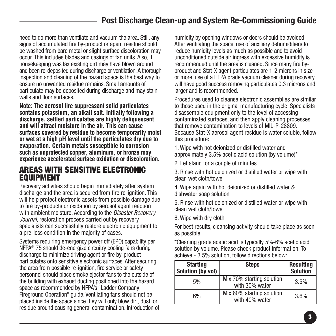## **Post Discharge Clean-up and System Re-Commissioning Guide**

need to do more than ventilate and vacuum the area. Still, any signs of accumulated fire by-product or agent residue should be washed from bare metal or slight surface discoloration may occur. This includes blades and casings of fan units. Also, if housekeeping was lax existing dirt may have blown around and been re-deposited during discharge or ventilation.A thorough inspection and cleaning of the hazard space is the best way to ensure no unwanted residue remains. Small amounts of particulate may be deposited during discharge and may stain walls and floor surfaces.

**Note: The aerosol fire suppressant solid particulates contains potassium, an alkali salt. Initially following a discharge, settled particulates are highly deliquescent and will attract moisture in the air. This can cause surfaces covered by residue to become temporarily moist or wet at a high pH level until the particulates dry due to evaporation. Certain metals susceptible to corrosion such as unprotected copper, aluminum, or bronze may experience accelerated surface oxidation or discoloration.**

### **AREAS WITH SENSITIVE ELECTRONIC EQUIPMENT**

Recovery activities should begin immediately after system discharge and the area is secured from fire re-ignition. This will help protect electronic assets from possible damage due to fire by-products or oxidation by aerosol agent reaction with ambient moisture. According to the *Disaster Recovery Journal*, restoration process carried out by recovery specialists can successfully restore electronic equipment to a pre-loss condition in the majority of cases.

Systems requiring emergency power off (EPO) capability per NFPA® 75 should de-energize circuitry cooling fans during discharge to minimize driving agent or fire by-product particulates onto sensitive electronic surfaces. After securing the area from possible re-ignition, fire service or safety personnel should place smoke ejector fans to the outside of the building with exhaust ducting positioned into the hazard space as recommended by NFPA's "Ladder Company Fireground Operation" guide. Ventilating fans should not be placed inside the space since they will only blow dirt, dust, or residue around causing general contamination. Introduction of

humidity by opening windows or doors should be avoided. After ventilating the space, use of auxiliary dehumidifiers to reduce humidity levels as much as possible and to avoid unconditioned outside air ingress with excessive humidity is recommended until the area is cleaned. Since many fire byproduct and Stat-X agent particulates are 1-2 microns in size or more, use of a HEPA grade vacuum cleaner during recovery will have good success removing particulates 0.3 microns and larger and is recommended.

Procedures used to cleanse electronic assemblies are similar to those used in the original manufacturing cycle. Specialists disassemble equipment only to the level of accessing contaminated surfaces, and then apply cleaning processes that remove contamination to levels of MIL-P-28809. Because Stat-X aerosol agent residue is water soluble, follow this procedure:

1. Wipe with hot deionized or distilled water and approximately 3.5% acetic acid solution (by volume)\*

2. Let stand for a couple of minutes

3. Rinse with hot deionized or distilled water or wipe with clean wet cloth/towel

4. Wipe again with hot deionized or distilled water & dishwater soap solution

5. Rinse with hot deionized or distilled water or wipe with clean wet cloth/towel

6. Wipe with dry cloth

For best results, cleansing activity should take place as soon as possible.

\*Cleaning grade acetic acid is typically 5%-6% acetic acid solution by volume. Please check product information. To achieve ~3.5% solution, follow directions below:

| <b>Starting</b><br>Solution (by vol) | <b>Steps</b>                                | <b>Resulting</b><br>Solution |
|--------------------------------------|---------------------------------------------|------------------------------|
| 5%                                   | Mix 70% starting solution<br>with 30% water | 3.5%                         |
| 6%                                   | Mix 60% starting solution<br>with 40% water | 3.6%                         |